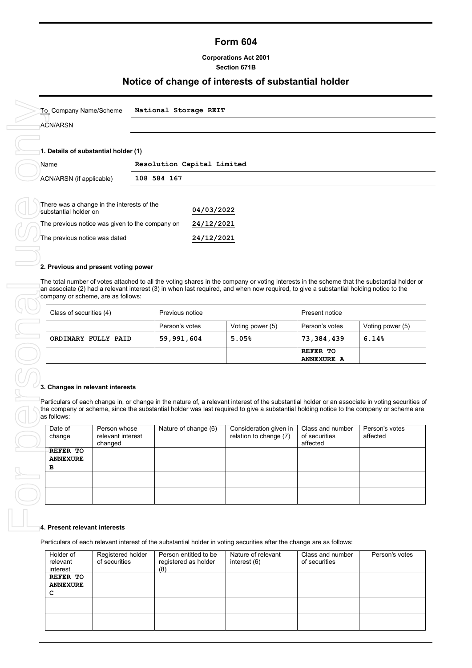# **Form 604**

## **Corporations Act 2001 Section 671B**

# **Notice of change of interests of substantial holder**

| To Company Name/Scheme                                              | National Storage REIT |                            |
|---------------------------------------------------------------------|-----------------------|----------------------------|
| <b>ACN/ARSN</b>                                                     |                       |                            |
|                                                                     |                       |                            |
| 1. Details of substantial holder (1)                                |                       |                            |
| Name                                                                |                       | Resolution Capital Limited |
| ACN/ARSN (if applicable)                                            | 108 584 167           |                            |
|                                                                     |                       |                            |
| There was a change in the interests of the<br>substantial holder on |                       | 04/03/2022                 |
| The previous notice was given to the company on                     |                       | 24/12/2021                 |
| The previous notice was dated                                       |                       | 24/12/2021                 |

| 2. Previous and present voting power                                                                                                                                                                                                                                                                                        |                 |                  |                               |                  |
|-----------------------------------------------------------------------------------------------------------------------------------------------------------------------------------------------------------------------------------------------------------------------------------------------------------------------------|-----------------|------------------|-------------------------------|------------------|
| The total number of votes attached to all the voting shares in the company or voting interests in the scheme that the substantial holder or<br>an associate (2) had a relevant interest (3) in when last required, and when now required, to give a substantial holding notice to the<br>company or scheme, are as follows: |                 |                  |                               |                  |
| Class of securities (4)                                                                                                                                                                                                                                                                                                     | Previous notice |                  | Present notice                |                  |
|                                                                                                                                                                                                                                                                                                                             | Person's votes  | Voting power (5) | Person's votes                | Voting power (5) |
| ORDINARY FULLY PAID                                                                                                                                                                                                                                                                                                         | 59,991,604      | 5.05%            | 73,384,439                    | 6.14%            |
|                                                                                                                                                                                                                                                                                                                             |                 |                  | REFER TO<br><b>ANNEXURE A</b> |                  |

### **3. Changes in relevant interests**

Particulars of each change in, or change in the nature of, a relevant interest of the substantial holder or an associate in voting securities of the company or scheme, since the substantial holder was last required to give a substantial holding notice to the company or scheme are as follows:

| Date of<br>change                | Person whose<br>relevant interest<br>changed | Nature of change (6) | Consideration given in<br>relation to change (7) | Class and number<br>of securities<br>affected | Person's votes<br>affected |
|----------------------------------|----------------------------------------------|----------------------|--------------------------------------------------|-----------------------------------------------|----------------------------|
| REFER TO<br><b>ANNEXURE</b><br>в |                                              |                      |                                                  |                                               |                            |
|                                  |                                              |                      |                                                  |                                               |                            |
|                                  |                                              |                      |                                                  |                                               |                            |

#### **4. Present relevant interests**

Particulars of each relevant interest of the substantial holder in voting securities after the change are as follows:

| Holder of<br>relevant<br>interest | Registered holder<br>of securities | Person entitled to be<br>registered as holder<br>(8) | Nature of relevant<br>interest (6) | Class and number<br>of securities | Person's votes |
|-----------------------------------|------------------------------------|------------------------------------------------------|------------------------------------|-----------------------------------|----------------|
| REFER TO                          |                                    |                                                      |                                    |                                   |                |
| <b>ANNEXURE</b>                   |                                    |                                                      |                                    |                                   |                |
| с                                 |                                    |                                                      |                                    |                                   |                |
|                                   |                                    |                                                      |                                    |                                   |                |
|                                   |                                    |                                                      |                                    |                                   |                |
|                                   |                                    |                                                      |                                    |                                   |                |
|                                   |                                    |                                                      |                                    |                                   |                |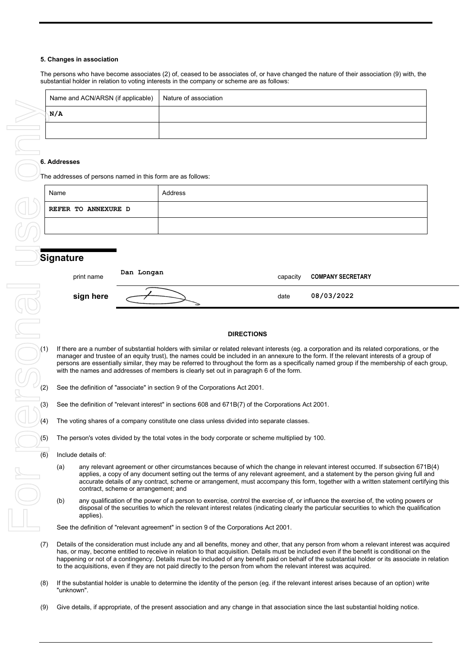#### **5. Changes in association**

The persons who have become associates (2) of, ceased to be associates of, or have changed the nature of their association (9) with, the substantial holder in relation to voting interests in the company or scheme are as follows:

| Name and ACN/ARSN (if applicable) | Nature of association |
|-----------------------------------|-----------------------|
| N/A                               |                       |
|                                   |                       |

#### **6. Addresses**

|            | N/A                                                         |                                      |                                                                                                                     |                   |                                                                                                                                                                                                                                                                                                                                                                                                                                 |  |
|------------|-------------------------------------------------------------|--------------------------------------|---------------------------------------------------------------------------------------------------------------------|-------------------|---------------------------------------------------------------------------------------------------------------------------------------------------------------------------------------------------------------------------------------------------------------------------------------------------------------------------------------------------------------------------------------------------------------------------------|--|
|            |                                                             |                                      |                                                                                                                     |                   |                                                                                                                                                                                                                                                                                                                                                                                                                                 |  |
|            |                                                             |                                      |                                                                                                                     |                   |                                                                                                                                                                                                                                                                                                                                                                                                                                 |  |
|            | 6. Addresses                                                |                                      |                                                                                                                     |                   |                                                                                                                                                                                                                                                                                                                                                                                                                                 |  |
|            | The addresses of persons named in this form are as follows: |                                      |                                                                                                                     |                   |                                                                                                                                                                                                                                                                                                                                                                                                                                 |  |
|            | Name                                                        |                                      | Address                                                                                                             |                   |                                                                                                                                                                                                                                                                                                                                                                                                                                 |  |
|            | REFER TO ANNEXURE D                                         |                                      |                                                                                                                     |                   |                                                                                                                                                                                                                                                                                                                                                                                                                                 |  |
|            |                                                             |                                      |                                                                                                                     |                   |                                                                                                                                                                                                                                                                                                                                                                                                                                 |  |
|            |                                                             |                                      |                                                                                                                     |                   |                                                                                                                                                                                                                                                                                                                                                                                                                                 |  |
|            | <b>Signature</b>                                            |                                      |                                                                                                                     |                   |                                                                                                                                                                                                                                                                                                                                                                                                                                 |  |
|            | print name                                                  | Dan Longan                           |                                                                                                                     | capacity          | <b>COMPANY SECRETARY</b>                                                                                                                                                                                                                                                                                                                                                                                                        |  |
|            | sign here                                                   |                                      |                                                                                                                     | date              | 08/03/2022                                                                                                                                                                                                                                                                                                                                                                                                                      |  |
|            |                                                             |                                      |                                                                                                                     |                   |                                                                                                                                                                                                                                                                                                                                                                                                                                 |  |
|            |                                                             |                                      |                                                                                                                     |                   |                                                                                                                                                                                                                                                                                                                                                                                                                                 |  |
|            |                                                             |                                      |                                                                                                                     | <b>DIRECTIONS</b> |                                                                                                                                                                                                                                                                                                                                                                                                                                 |  |
|            | (1)                                                         |                                      | with the names and addresses of members is clearly set out in paragraph 6 of the form.                              |                   | If there are a number of substantial holders with similar or related relevant interests (eg. a corporation and its related corporations, or<br>manager and trustee of an equity trust), the names could be included in an annexure to the form. If the relevant interests of a group of<br>persons are essentially similar, they may be referred to throughout the form as a specifically named group if the membership of each |  |
| (2)        |                                                             |                                      | See the definition of "associate" in section 9 of the Corporations Act 2001.                                        |                   |                                                                                                                                                                                                                                                                                                                                                                                                                                 |  |
| (3)        |                                                             |                                      | See the definition of "relevant interest" in sections 608 and 671B(7) of the Corporations Act 2001.                 |                   |                                                                                                                                                                                                                                                                                                                                                                                                                                 |  |
| (4)        |                                                             |                                      | The voting shares of a company constitute one class unless divided into separate classes.                           |                   |                                                                                                                                                                                                                                                                                                                                                                                                                                 |  |
|            | (5)                                                         |                                      | The person's votes divided by the total votes in the body corporate or scheme multiplied by 100.                    |                   |                                                                                                                                                                                                                                                                                                                                                                                                                                 |  |
| (6)        | Include details of:                                         |                                      |                                                                                                                     |                   |                                                                                                                                                                                                                                                                                                                                                                                                                                 |  |
|            | (a)                                                         | contract, scheme or arrangement; and |                                                                                                                     |                   | any relevant agreement or other circumstances because of which the change in relevant interest occurred. If subsection 671<br>applies, a copy of any document setting out the terms of any relevant agreement, and a statement by the person giving full a<br>accurate details of any contract, scheme or arrangement, must accompany this form, together with a written statement certify                                      |  |
| $\bigcirc$ | (b)<br>applies).                                            |                                      |                                                                                                                     |                   | any qualification of the power of a person to exercise, control the exercise of, or influence the exercise of, the voting powers<br>disposal of the securities to which the relevant interest relates (indicating clearly the particular securities to which the qualifica                                                                                                                                                      |  |
|            |                                                             |                                      | See the definition of "relevant agreement" in section 9 of the Corporations Act 2001.                               |                   |                                                                                                                                                                                                                                                                                                                                                                                                                                 |  |
| (7)        |                                                             |                                      | to the acquisitions, even if they are not paid directly to the person from whom the relevant interest was acquired. |                   | Details of the consideration must include any and all benefits, money and other, that any person from whom a relevant interest was a<br>has, or may, become entitled to receive in relation to that acquisition. Details must be included even if the benefit is conditional on the<br>happening or not of a contingency. Details must be included of any benefit paid on behalf of the substantial holder or its associate in  |  |
|            | (8)<br>"unknown".                                           |                                      |                                                                                                                     |                   | If the substantial holder is unable to determine the identity of the person (eg. if the relevant interest arises because of an option) write                                                                                                                                                                                                                                                                                    |  |
| (9)        |                                                             |                                      |                                                                                                                     |                   | Give details, if appropriate, of the present association and any change in that association since the last substantial holding notice.                                                                                                                                                                                                                                                                                          |  |

# **Signature**

| print name | Dan Longan | capacity | <b>COMPANY SECRETARY</b> |
|------------|------------|----------|--------------------------|
| sign here  |            | date     | 08/03/2022               |

#### **DIRECTIONS**

If there are a number of substantial holders with similar or related relevant interests (eg. a corporation and its related corporations, or the manager and trustee of an equity trust), the names could be included in an annexure to the form. If the relevant interests of a group of persons are essentially similar, they may be referred to throughout the form as a specifically named group if the membership of each group, with the names and addresses of members is clearly set out in paragraph 6 of the form.

- See the definition of "associate" in section 9 of the Corporations Act 2001.
- (3) See the definition of "relevant interest" in sections 608 and 671B(7) of the Corporations Act 2001.
- $(4)$  The voting shares of a company constitute one class unless divided into separate classes.
	- The person's votes divided by the total votes in the body corporate or scheme multiplied by 100.
- $(6)$  Include details of:
	- (a) any relevant agreement or other circumstances because of which the change in relevant interest occurred. If subsection 671B(4) applies, a copy of any document setting out the terms of any relevant agreement, and a statement by the person giving full and accurate details of any contract, scheme or arrangement, must accompany this form, together with a written statement certifying this contract, scheme or arrangement; and
	- (b) any qualification of the power of a person to exercise, control the exercise of, or influence the exercise of, the voting powers or disposal of the securities to which the relevant interest relates (indicating clearly the particular securities to which the qualification applies).

- (7) Details of the consideration must include any and all benefits, money and other, that any person from whom a relevant interest was acquired has, or may, become entitled to receive in relation to that acquisition. Details must be included even if the benefit is conditional on the happening or not of a contingency. Details must be included of any benefit paid on behalf of the substantial holder or its associate in relation to the acquisitions, even if they are not paid directly to the person from whom the relevant interest was acquired.
- (8) If the substantial holder is unable to determine the identity of the person (eg. if the relevant interest arises because of an option) write "unknown".
-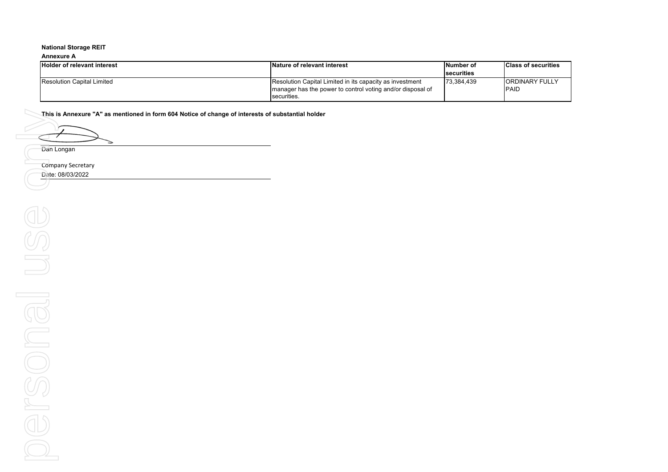#### **Annexure A**

| <b>Holder of relevant interest</b> | Nature of relevant interest                                | lNumber of        | <b>Class of securities</b> |
|------------------------------------|------------------------------------------------------------|-------------------|----------------------------|
|                                    |                                                            | <b>securities</b> |                            |
| <b>Resolution Capital Limited</b>  | Resolution Capital Limited in its capacity as investment   | 73.384.439        | <b>ORDINARY FULLY</b>      |
|                                    | manager has the power to control voting and/or disposal of |                   | <b>PAID</b>                |
|                                    | securities.                                                |                   |                            |

**This is Annexure "A" as mentioned in form 604 Notice of change of interests of substantial holder**

↘

Dan Longan

Company Secretary

Date: 08/03/2022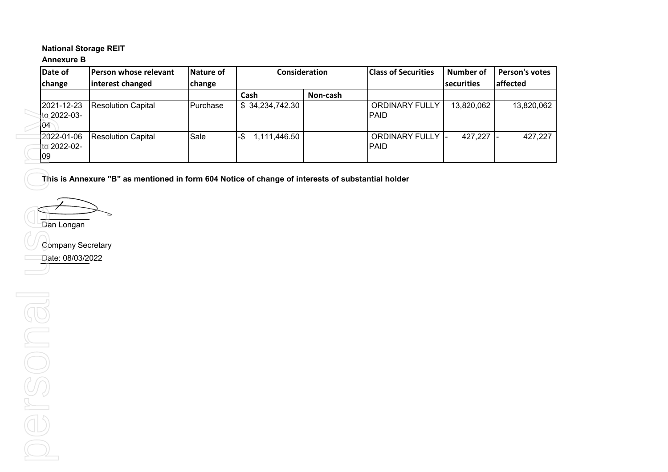# **Annexure B**

| Date of                                 | <b>IPerson whose relevant</b> | Nature of       | Consideration       |          | <b>Class of Securities</b>               | Number of  | <b>Person's votes</b> |
|-----------------------------------------|-------------------------------|-----------------|---------------------|----------|------------------------------------------|------------|-----------------------|
| change                                  | interest changed              | change          |                     |          |                                          | securities | affected              |
|                                         |                               |                 | Cash                | Non-cash |                                          |            |                       |
| 2021-12-23<br>to 2022-03-               | <b>Resolution Capital</b>     | <b>Purchase</b> | \$34,234,742.30     |          | <b>ORDINARY FULLY</b><br><b>IPAID</b>    | 13,820,062 | 13,820,062            |
| 04                                      |                               |                 |                     |          |                                          |            |                       |
| 12022-01-06<br>to 2022-02-<br><b>09</b> | <b>Resolution Capital</b>     | Sale            | 1,111,446.50<br>-\$ |          | <b>ORDINARY FULLY I-</b><br><b>IPAID</b> | 427,227    | 427,227               |

**This is Annexure "B" as mentioned in form 604 Notice of change of interests of substantial holder**

Dan Longan

Company Secretary

Date: 08/03/2022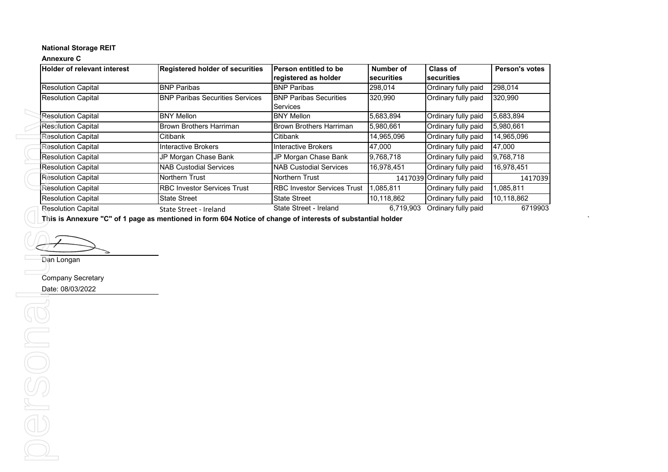## **Annexure C**

|                                                                       |                                        | Person entitled to be              | Number of  | <b>Class of</b>               | Person's votes |
|-----------------------------------------------------------------------|----------------------------------------|------------------------------------|------------|-------------------------------|----------------|
|                                                                       |                                        | registered as holder               | securities | securities                    |                |
| <b>Resolution Capital</b>                                             | <b>BNP Paribas</b>                     | <b>BNP Paribas</b>                 | 298,014    | Ordinary fully paid           | 298,014        |
| <b>Resolution Capital</b>                                             | <b>BNP Paribas Securities Services</b> | <b>BNP Paribas Securities</b>      | 320,990    | Ordinary fully paid           | 320,990        |
|                                                                       |                                        | <b>Services</b>                    |            |                               |                |
| <b>Resolution Capital</b>                                             | <b>BNY Mellon</b>                      | <b>BNY Mellon</b>                  | 5,683,894  | Ordinary fully paid           | 5,683,894      |
| <b>Resolution Capital</b>                                             | <b>Brown Brothers Harriman</b>         | Brown Brothers Harriman            | 5,980,661  | Ordinary fully paid           | 5,980,661      |
| <b>Resolution Capital</b>                                             | Citibank                               | Citibank                           | 14,965,096 | Ordinary fully paid           | 14,965,096     |
| <b>Resolution Capital</b>                                             | <b>Interactive Brokers</b>             | Interactive Brokers                | 47,000     | Ordinary fully paid           | 47,000         |
| <b>Resolution Capital</b>                                             | JP Morgan Chase Bank                   | JP Morgan Chase Bank               | 9,768,718  | Ordinary fully paid           | 9,768,718      |
| <b>Resolution Capital</b>                                             | <b>NAB Custodial Services</b>          | <b>NAB Custodial Services</b>      | 16,978,451 | Ordinary fully paid           | 16,978,451     |
| <b>Resolution Capital</b>                                             | Northern Trust                         | Northern Trust                     |            | 1417039 Ordinary fully paid   | 1417039        |
| <b>Resolution Capital</b>                                             | <b>RBC Investor Services Trust</b>     | <b>RBC Investor Services Trust</b> | 1,085,811  | Ordinary fully paid           | 1,085,811      |
| <b>Resolution Capital</b>                                             | <b>State Street</b>                    | <b>State Street</b>                | 10,118,862 | Ordinary fully paid           | 10,118,862     |
| <b>Resolution Capital</b>                                             | State Street - Ireland                 | State Street - Ireland             |            | 6,719,903 Ordinary fully paid | 6719903        |
|                                                                       |                                        |                                    |            |                               |                |
| Dan Longan                                                            |                                        |                                    |            |                               |                |
|                                                                       |                                        |                                    |            |                               |                |
|                                                                       |                                        |                                    |            |                               |                |
|                                                                       |                                        |                                    |            |                               |                |
|                                                                       |                                        |                                    |            |                               |                |
|                                                                       |                                        |                                    |            |                               |                |
|                                                                       |                                        |                                    |            |                               |                |
|                                                                       |                                        |                                    |            |                               |                |
|                                                                       |                                        |                                    |            |                               |                |
| <b>Company Secretary</b><br>Date: 08/03/2022<br>$\boxed{\phantom{1}}$ |                                        |                                    |            |                               |                |
|                                                                       |                                        |                                    |            |                               |                |
| $\bigoplus$                                                           |                                        |                                    |            |                               |                |
|                                                                       |                                        |                                    |            |                               |                |